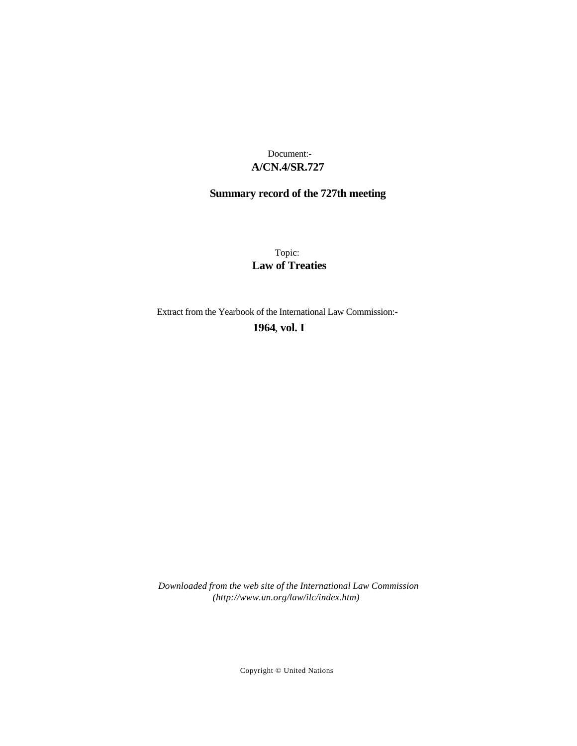### **A/CN.4/SR.727** Document:-

# **Summary record of the 727th meeting**

Topic: **Law of Treaties**

Extract from the Yearbook of the International Law Commission:-

**1964** , **vol. I**

*Downloaded from the web site of the International Law Commission (http://www.un.org/law/ilc/index.htm)*

Copyright © United Nations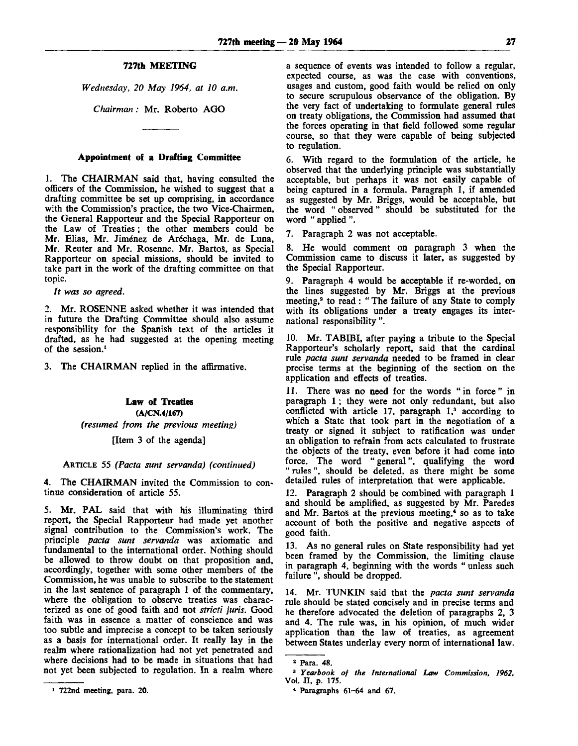#### **727th MEETING**

*Wednesday, 20 May 1964, at 10 a.m.*

*Cfiairman :* Mr. Roberto AGO

#### **Appointment of a Drafting Committee**

1. The CHAIRMAN said that, having consulted the officers of the Commission, he wished to suggest that a drafting committee be set up comprising, in accordance with the Commission's practice, the two Vice-Chairmen, the General Rapporteur and the Special Rapporteur on the Law of Treaties; the other members could be Mr. Elias, Mr. Jiménez de Aréchaga, Mr. de Luna, Mr. Reuter and Mr. Rosenne. Mr. Bartos, as Special Rapporteur on special missions, should be invited to take part in the work of the drafting committee on that topic.

*It was so agreed.*

2. Mr. ROSENNE asked whether it was intended that in future the Drafting Committee should also assume responsibility for the Spanish text of the articles it drafted, as he had suggested at the opening meeting of the session.<sup>1</sup>

3. The CHAIRMAN replied in the affirmative.

## **Law of Treaties (A/CN.4/167)** *(resumed from the previous meeting)*

### [Item 3 of the agenda]

#### ARTICLE 55 *(Pacta sunt servanda) (continued)*

4. The CHAIRMAN invited the Commission to continue consideration of article 55.

5. Mr. PAL said that with his illuminating third report, the Special Rapporteur had made yet another signal contribution to the Commission's work. The principle *pacta sunt servanda* was axiomatic and fundamental to the international order. Nothing should be allowed to throw doubt on that proposition and, accordingly, together with some other members of the Commission, he was unable to subscribe to the statement in the last sentence of paragraph 1 of the commentary, where the obligation to observe treaties was characterized as one of good faith and not *stricti juris.* Good faith was in essence a matter of conscience and was too subtle and imprecise a concept to be taken seriously as a basis for international order. It really lay in the realm where rationalization had not yet penetrated and where decisions had to be made in situations that had not yet been subjected to regulation. In a realm where

6. With regard to the formulation of the article, he observed that the underlying principle was substantially acceptable, but perhaps it was not easily capable of being captured in a formula. Paragraph 1, if amended as suggested by Mr. Briggs, would be acceptable, but the word " observed" should be substituted for the word " applied ".

7. Paragraph 2 was not acceptable.

8. He would comment on paragraph 3 when the Commission came to discuss it later, as suggested by the Special Rapporteur.

9. Paragraph 4 would be acceptable if re-worded, on the lines suggested by Mr. Briggs at the previous meeting,<sup>2</sup> to read: "The failure of any State to comply with its obligations under a treaty engages its international responsibility ".

10. Mr. TABIBI, after paying a tribute to the Special Rapporteur's scholarly report, said that the cardinal rule *pacta sunt servanda* needed to be framed in clear precise terms at the beginning of the section on the application and effects of treaties.

11. There was no need for the words "in force" in paragraph 1 ; they were not only redundant, but also conflicted with article 17, paragraph 1,<sup>3</sup> according to which a State that took part in the negotiation of a treaty or signed it subject to ratification was under an obligation to refrain from acts calculated to frustrate the objects of the treaty, even before it had come into force. The word " general", qualifying the word " rules", should be deleted, as there might be some detailed rules of interpretation that were applicable.

12. Paragraph 2 should be combined with paragraph 1 and should be amplified, as suggested by Mr. Paredes and Mr. Bartos at the previous meeting,<sup>4</sup> so as to take account of both the positive and negative aspects of good faith.

13. As no general rules on State responsibility had yet been framed by the Commission, the limiting clause in paragraph 4, beginning with the words " unless such failure ", should be dropped.

14. Mr. TUNKIN said that the *pacta sunt servanda* rule should be stated concisely and in precise terms and he therefore advocated the deletion of paragraphs 2, 3 and 4. The rule was, in his opinion, of much wider application than the law of treaties, as agreement between States underlay every norm of international law.

a sequence of events was intended to follow a regular, expected course, as was the case with conventions, usages and custom, good faith would be relied on only to secure scrupulous observance of the obligation. By the very fact of undertaking to formulate general rules on treaty obligations, the Commission had assumed that the forces operating in that field followed some regular course, so that they were capable of being subjected to regulation.

<sup>2</sup> Para. 48.

<sup>3</sup>  *Yearbook of the International Law Commission, 1962,* Vol. II, p. 175.

<sup>4</sup> Paragraphs 61-64 and 67.

<sup>1</sup> 722nd meeting, para. 20.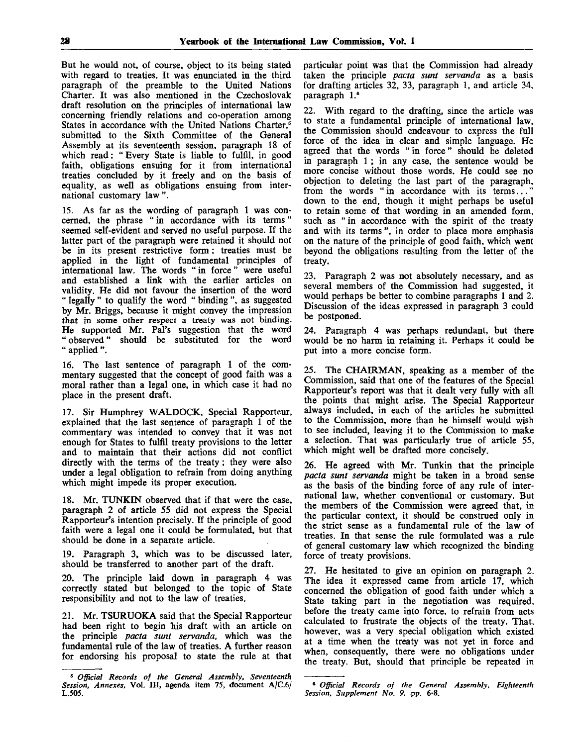But he would not, of course, object to its being stated with regard to treaties. It was enunciated in the third paragraph of the preamble to the United Nations Charter. It was also mentioned in the Czechoslovak draft resolution on the principles of international law concerning friendly relations and co-operation among States in accordance with the United Nations Charter,<sup>5</sup> submitted to the Sixth Committee of the General Assembly at its seventeenth session, paragraph 18 of which read: " Every State is liable to fulfil, in good faith, obligations ensuing for it from international treaties concluded by it freely and on the basis of equality, as well as obligations ensuing from international customary law ".

15. As far as the wording of paragraph 1 was concerned, the phrase " in accordance with its terms" seemed self-evident and served no useful purpose. If the latter part of the paragraph were retained it should not be in its present restrictive form: treaties must be applied in the light of fundamental principles of international law. The words " in force" were useful and established a link with the earlier articles on validity. He did not favour the insertion of the word " legally " to qualify the word " binding ", as suggested by Mr. Briggs, because it might convey the impression that in some other respect a treaty was not binding. He supported Mr. Pal's suggestion that the word " observed" should be substituted for the word " applied ".

16. The last sentence of paragraph 1 of the commentary suggested that the concept of good faith was a moral rather than a legal one, in which case it had no place in the present draft.

17. Sir Humphrey WALDOCK, Special Rapporteur, explained that the last sentence of paragraph 1 of the commentary was intended to convey that it was not enough for States to fulfil treaty provisions to the letter and to maintain that their actions did not conflict directly with the terms of the treaty; they were also under a legal obligation to refrain from doing anything which might impede its proper execution.

18. Mr. TUNKIN observed that if that were the case, paragraph 2 of article 55 did not express the Special Rapporteur's intention precisely. If the principle of good faith were a legal one it could be formulated, but that should be done in a separate article.

19. Paragraph 3, which was to be discussed later, should be transferred to another part of the draft.

20. The principle laid down in paragraph 4 was correctly stated but belonged to the topic of State responsibility and not to the law of treaties.

21. Mr. TSURUOKA said that the Special Rapporteur had been right to begin his draft with an article on the principle *pacta sunt servanda,* which was the fundamental rule of the law of treaties. A further reason for endorsing his proposal to state the rule at that particular point was that the Commission had already taken the principle *pacta sunt servanda* as a basis for drafting articles 32, 33, paragraph 1, and article 34, paragraph I.<sup>6</sup>

22. With regard to the drafting, since the article was to state a fundamental principle of international law, the Commission should endeavour to express the full force of the idea in clear and simple language. He agreed that the words " in force" should be deleted in paragraph 1 ; in any case, the sentence would be more concise without those words. He could see no objection to deleting the last part of the paragraph, from the words " in accordance with its terms... down to the end, though it might perhaps be useful to retain some of that wording in an amended form, such as "in accordance with the spirit of the treaty and with its terms ", in order to place more emphasis on the nature of the principle of good faith, which went beyond the obligations resulting from the letter of the treaty.

23. Paragraph 2 was not absolutely necessary, and as several members of the Commission had suggested, it would perhaps be better to combine paragraphs 1 and 2. Discussion of the ideas expressed in paragraph 3 could be postponed.

24. Paragraph 4 was perhaps redundant, but there would be no harm in retaining it. Perhaps it could be put into a more concise form.

25. The CHAIRMAN, speaking as a member of the Commission, said that one of the features of the Special Rapporteur's report was that it dealt very fully with all the points that might arise. The Special Rapporteur always included, in each of the articles he submitted to the Commission, more than he himself would wish to see included, leaving it to the Commission to make a selection. That was particularly true of article 55, which might well be drafted more concisely.

26. He agreed with Mr. Tunkin that the principle *pacta sunt servanda* might be taken in a broad sense as the basis of the binding force of any rule of international law, whether conventional or customary. But the members of the Commission were agreed that, in the particular context, it should be construed only in the strict sense as a fundamental rule of the law of treaties. In that sense the rule formulated was a rule of general customary law which recognized the binding force of treaty provisions.

27. He hesitated to give an opinion on paragraph 2. The idea it expressed came from article 17, which concerned the obligation of good faith under which a State taking part in the negotiation was required, before the treaty came into force, to refrain from acts calculated to frustrate the objects of the treaty. That, however, was a very special obligation which existed at a time when the treaty was not yet in force and when, consequently, there were no obligations under the treaty. But, should that principle be repeated in

<sup>5</sup>  *Official Records of the General Assembly, Seventeenth Session, Annexes,* Vol. Ill, agenda item 75, document A/C.6/ L.505.

<sup>6</sup>  *Official Records of the General Assembly, Eighteenth Session, Supplement No. 9,* pp. 6-8.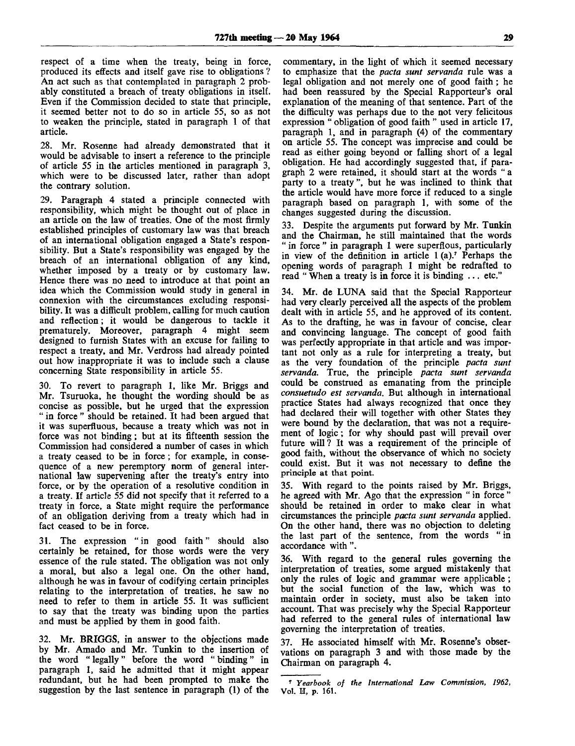respect of a time when the treaty, being in force, produced its effects and itself gave rise to obligations ? An act such as that contemplated in paragraph 2 probably constituted a breach of treaty obligations in itself. Even if the Commission decided to state that principle, it seemed better not to do so in article 55, so as not to weaken the principle, stated in paragraph 1 of that article.

28. Mr. Rosenne had already demonstrated that it would be advisable to insert a reference to the principle of article 55 in the articles mentioned in paragraph 3, which were to be discussed later, rather than adopt the contrary solution.

29. Paragraph 4 stated a principle connected with responsibility, which might be thought out of place in an article on the law of treaties. One of the most firmly established principles of customary law was that breach of an international obligation engaged a State's responsibility. But a State's responsibility was engaged by the breach of an international obligation of any kind, whether imposed by a treaty or by customary law. Hence there was no need to introduce at that point an idea which the Commission would study in general in connexion with the circumstances excluding responsibility. It was a difficult problem, calling for much caution and reflection; it would be dangerous to tackle it prematurely. Moreover, paragraph 4 might seem designed to furnish States with an excuse for failing to respect a treaty, and Mr. Verdross had already pointed out how inappropriate it was to include such a clause concerning State responsibility in article 55.

30. To revert to paragraph 1, like Mr. Briggs and Mr. Tsuruoka, he thought the wording should be as concise as possible, but he urged that the expression " in force " should be retained. It had been argued that it was superfluous, because a treaty which was not in force was not binding; but at its fifteenth session the Commission had considered a number of cases in which a treaty ceased to be in force; for example, in consequence of a new peremptory norm of general international law supervening after the treaty's entry into force, or by the operation of a resolutive condition in a treaty. If article 55 did not specify that it referred to a treaty in force, a State might require the performance of an obligation deriving from a treaty which had in fact ceased to be in force.

31. The expression " in good faith" should also certainly be retained, for those words were the very essence of the rule stated. The obligation was not only a moral, but also a legal one. On the other hand, although he was in favour of codifying certain principles relating to the interpretation of treaties, he saw no need to refer to them in article 55. It was sufficient to say that the treaty was binding upon the parties and must be applied by them in good faith.

32. Mr. **BRIGGS,** in answer to the objections made by Mr. Amado and Mr. Tunkin to the insertion of the word " legally" before the word " binding" in paragraph 1, said he admitted that it might appear redundant, but he had been prompted to make the suggestion by the last sentence in paragraph (1) of the

commentary, in the light of which it seemed necessary to emphasize that the *pacta sunt servanda* rule was a legal obligation and not merely one of good faith; he had been reassured by the Special Rapporteur's oral explanation of the meaning of that sentence. Part of the the difficulty was perhaps due to the not very felicitous expression " obligation of good faith " used in article 17, paragraph 1, and in paragraph (4) of the commentary on article 55. The concept was imprecise and could be read as either going beyond or falling short of a legal obligation. He had accordingly suggested that, if paragraph 2 were retained, it should start at the words " a party to a treaty ", but he was inclined to think that the article would have more force if reduced to a single paragraph based on paragraph 1, with some of the changes suggested during the discussion.

33. Despite the arguments put forward by Mr. Tunkin and the Chairman, he still maintained that the words " in force " in paragraph 1 were superflous, particularly in view of the definition in article  $1(a)$ .<sup>7</sup> Perhaps the opening words of paragraph 1 might be redrafted to read " When a treaty is in force it is binding ... etc."

34. Mr. de LUNA said that the Special Rapporteur had very clearly perceived all the aspects of the problem dealt with in article 55, and he approved of its content. As to the drafting, he was in favour of concise, clear and convincing language. The concept of good faith was perfectly appropriate in that article and was important not only as a rule for interpreting a treaty, but as the very foundation of the principle *pacta sunt servanda.* True, the principle *pacta sunt servanda* could be construed as emanating from the principle *consuetudo est servanda.* But although in international practice States had always recognized that once they had declared their will together with other States they were bound by the declaration, that was not a requirement of logic; for why should past will prevail over future will? It was a requirement of the principle of good faith, without the observance of which no society could exist. But it was not necessary to define the principle at that point.

35. With regard to the points raised by Mr. Briggs, he agreed with Mr. Ago that the expression " in force " should be retained in order to make clear in what circumstances the principle *pacta sunt servanda* applied. On the other hand, there was no objection to deleting the last part of the sentence, from the words " in accordance with".

36. With regard to the general rules governing the interpretation of treaties, some argued mistakenly that only the rules of logic and grammar were applicable; but the social function of the law, which was to maintain order in society, must also be taken into account. That was precisely why the Special Rapporteur had referred to the general rules of international law governing the interpretation of treaties.

37. He associated himself with Mr. Rosenne's observations on paragraph 3 and with those made by the Chairman on paragraph 4.

<sup>7</sup>  *Yearbook of the International Law Commission, 1962,* Vol. H, p. 161.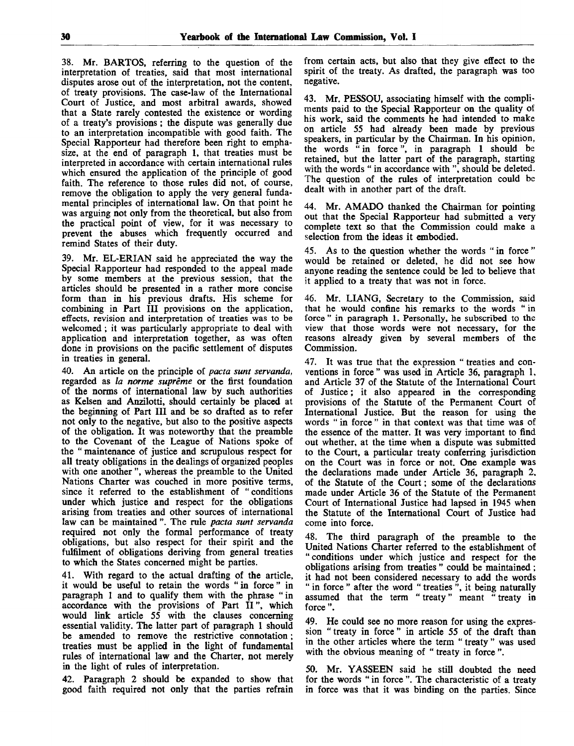38. Mr. BARTOS, referring to the question of the interpretation of treaties, said that most international disputes arose out of the interpretation, not the content, of treaty provisions. The case-law of the International Court of Justice, and most arbitral awards, showed that a State rarely contested the existence or wording of a treaty's provisions; the dispute was generally due to an interpretation incompatible with good faith. The Special Rapporteur had therefore been right to emphasize, at the end of paragraph 1, that treaties must be interpreted in accordance with certain international rules which ensured the application of the principle of good faith. The reference to those rules did not, of course, remove the obligation to apply the very general fundamental principles of international law. On that point he was arguing not only from the theoretical, but also from the practical point of view, for it was necessary to prevent the abuses which frequently occurred and remind States of their duty.

39. Mr. EL-ERIAN said he appreciated the way the Special Rapporteur had responded to the appeal made by some members at the previous session, that the articles should be presented in a rather more concise form than in his previous drafts. His scheme for combining in Part III provisions on the application, effects, revision and interpretation of treaties was to be welcomed ; it was particularly appropriate to deal with application and interpretation together, as was often done in provisions on the pacific settlement of disputes in treaties in general.

40. An article on the principle of *pacta sunt servanda,* regarded as *la norme supreme* or the first foundation of the norms of international law by such authorities as Kelsen and Anzilotti, should certainly be placed at the beginning of Part III and be so drafted as to refer not only to the negative, but also to the positive aspects of the obligation. It was noteworthy that the preamble to the Covenant of the League of Nations spoke of the " maintenance of justice and scrupulous respect for all treaty obligations in the dealings of organized peoples with one another ", whereas the preamble to the United Nations Charter was couched in more positive terms, since it referred to the establishment of "conditions under which justice and respect for the obligations arising from treaties and other sources of international law can be maintained ". The rule *pacta sunt servanda* required not only the formal performance of treaty obligations, but also respect for their spirit and the fulfilment of obligations deriving from general treaties to which the States concerned might be parties.

41. With regard to the actual drafting of the article, it would be useful to retain the words "in force" in paragraph 1 and to qualify them with the phrase "in accordance with the provisions of Part II", which would link article 55 with the clauses concerning essential validity. The latter part of paragraph 1 should be amended to remove the restrictive connotation; treaties must be applied in the light of fundamental rules of international law and the Charter, not merely in the light of rules of interpretation.

42. Paragraph 2 should be expanded to show that good faith required not only that the parties refrain

from certain acts, but also that they give effect to the spirit of the treaty. As drafted, the paragraph was too negative.

43. Mr. PESSOU, associating himself with the compliments paid to the Special Rapporteur on the quality of his work, said the comments he had intended to make on article 55 had already been made by previous speakers, in particular by the Chairman. In his opinion, the words " in force", in paragraph 1 should be retained, but the latter part of the paragraph, starting with the words " in accordance with ", should be deleted. The question of the rules of interpretation could be dealt with in another part of the draft.

44. Mr. AMADO thanked the Chairman for pointing out that the Special Rapporteur had submitted a very complete text so that the Commission could make a selection from the ideas it embodied.

45. As to the question whether the words " in force " would be retained or deleted, he did not see how anyone reading the sentence could be led to believe that it applied to a treaty that was not in force.

46. Mr. LIANG, Secretary to the Commission, said that he would confine his remarks to the words "in force " in paragraph 1. Personally, he subscribed to the view that those words were not necessary, for the reasons already given by several members of the Commission.

47. It was true that the expression " treaties and conventions in force" was used in Article 36, paragraph 1, and Article 37 of the Statute of the International Court of Justice; it also appeared in the corresponding provisions of the Statute of the Permanent Court of International Justice. But the reason for using the words " in force " in that context was that time was of the essence of the matter. It was very important to find out whether, at the time when a dispute was submitted to the Court, a particular treaty conferring jurisdiction on the Court was in force or not. One example was the declarations made under Article 36, paragraph 2, of the Statute of the Court; some of the declarations made under Article 36 of the Statute of the Permanent Court of International Justice had lapsed in 1945 when the Statute of the International Court of Justice had come into force.

The third paragraph of the preamble to the United Nations Charter referred to the establishment of "conditions under which justice and respect for the obligations arising from treaties " could be maintained ; it had not been considered necessary to add the words " in force " after the word " treaties ", it being naturally assumed that the term " treaty " meant " treaty in force ".

49. He could see no more reason for using the expression " treaty in force " in article 55 of the draft than in the other articles where the term " treaty " was used with the obvious meaning of " treaty in force".

50. Mr. YASSEEN said he still doubted the need for the words " in force ". The characteristic of a treaty in force was that it was binding on the parties. Since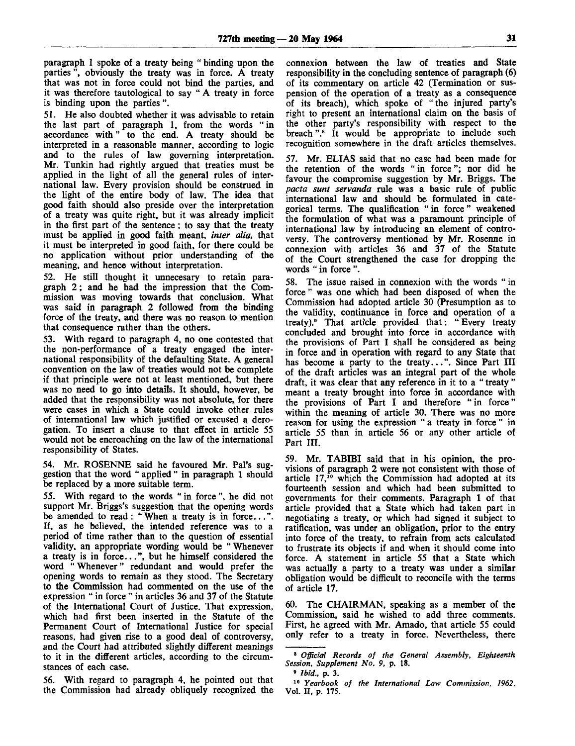paragraph 1 spoke of a treaty being " binding upon the parties ", obviously the treaty was in force. A treaty that was not in force could not bind the parties, and it was therefore tautological to say " A treaty in force is binding upon the parties ".

51. He also doubted whether it was advisable to retain the last part of paragraph 1, from the words " in accordance with" to the end. A treaty should be interpreted in a reasonable manner, according to logic and to the rules of law governing interpretation. Mr. Tunkin had rightly argued that treaties must be applied in the light of all the general rules of international law. Every provision should be construed in the light of the entire body of law. The idea that good faith should also preside over the interpretation of a treaty was quite right, but it was already implicit in the first part of the sentence ; to say that the treaty must be applied in good faith meant, *inter alia,* that it must be interpreted in good faith, for there could be no application without prior understanding of the meaning, and hence without interpretation.

52. He still thought it unnecesary to retain paragraph 2; and he had the impression that the Commission was moving towards that conclusion. What was said in paragraph 2 followed from the binding force of the treaty, and there was no reason to mention that consequence rather than the others.

53. With regard to paragraph 4, no one contested that the non-performance of a treaty engaged the international responsibility of the defaulting State. A general convention on the law of treaties would not be complete if that principle were not at least mentioned, but there was no need to go into details. It should, however, be added that the responsibility was not absolute, for there were cases in which a State could invoke other rules of international law which justified or excused a derogation. To insert a clause to that effect in article 55 would not be encroaching on the law of the international responsibility of States.

54. Mr. ROSENNE said he favoured Mr. Pal's suggestion that the word " applied " in paragraph 1 should be replaced by a more suitable term.

55. With regard to the words " in force ", he did not support Mr. Briggs's suggestion that the opening words be amended to read: "When a treaty is in force...". If, as he believed, the intended reference was to a period of time rather than to the question of essential validity, an appropriate wording would be "Whenever a treaty is in force...", but he himself considered the word " Whenever" redundant and would prefer the opening words to remain as they stood. The Secretary to the Commission had commented on the use of the expression " in force " in articles 36 and 37 of the Statute of the International Court of Justice. That expression, which had first been inserted in the Statute of the Permanent Court of International Justice for special reasons, had given rise to a good deal of controversy, and the Court had attributed slightly different meanings to it in the different articles, according to the circumstances of each case.

56. With regard to paragraph 4, he pointed out that the Commission had already obliquely recognized the

connexion between the law of treaties and State responsibility in the concluding sentence of paragraph (6) of its commentary on article 42 (Termination or suspension of the operation of a treaty as a consequence of its breach), which spoke of " the injured party's right to present an international claim on the basis of the other party's responsibility with respect to the breach ".<sup>8</sup> It would be appropriate to include such recognition somewhere in the draft articles themselves.

57. Mr. ELIAS said that no case had been made for the retention of the words " in force"; nor did he favour the compromise suggestion by Mr. Briggs. The *pacta sunt servanda* rule was a basic rule of public international law and should be formulated in categorical terms. The qualification " in force " weakened the formulation of what was a paramount principle of international law by introducing an element of controversy. The controversy mentioned by Mr. Rosenne in connexion with articles 36 and 37 of the Statute of the Court strengthened the case for dropping the words " in force ".

58. The issue raised in connexion with the words " in force " was one which had been disposed of when the Commission had adopted article 30 (Presumption as to the validity, continuance in force and operation of a treaty).<sup>9</sup> That article provided that: " Every treaty concluded and brought into force in accordance with the provisions of Part I shall be considered as being in force and in operation with regard to any State that has become a party to the treaty...". Since Part III of the draft articles was an integral part of the whole draft, it was clear that any reference in it to a " treaty " meant a treaty brought into force in accordance with the provisions of Part I and therefore " in force" within the meaning of article 30. There was no more reason for using the expression " a treaty in force " in article 55 than in article 56 or any other article of Part III.

59. Mr. TABIBI said that in his opinion, the provisions of paragraph 2 were not consistent with those of article 17,<sup>10</sup> which the Commission had adopted at its fourteenth session and which had been submitted to governments for their comments. Paragraph 1 of that article provided that a State which had taken part in negotiating a treaty, or which had signed it subject to ratification, was under an obligation, prior to the entry into force of the treaty, to refrain from acts calculated to frustrate its objects if and when it should come into force. A statement in article 55 that a State which was actually a party to a treaty was under a similar obligation would be difficult to reconcile with the terms of article 17.

60. The CHAIRMAN, speaking as a member of the Commission, said he wished to add three comments. First, he agreed with Mr. Amado, that article 55 could only refer to a treaty in force. Nevertheless, there

<sup>8</sup>  *Official Records of the General Assembly, Eighteenth Session, Supplement No. 9,* p. 18.

<sup>9</sup>  *Ibid.,* p. 3.

<sup>10</sup>  *Yearbook of the International Law Commission, 1962,* Vol. H, p. 175.